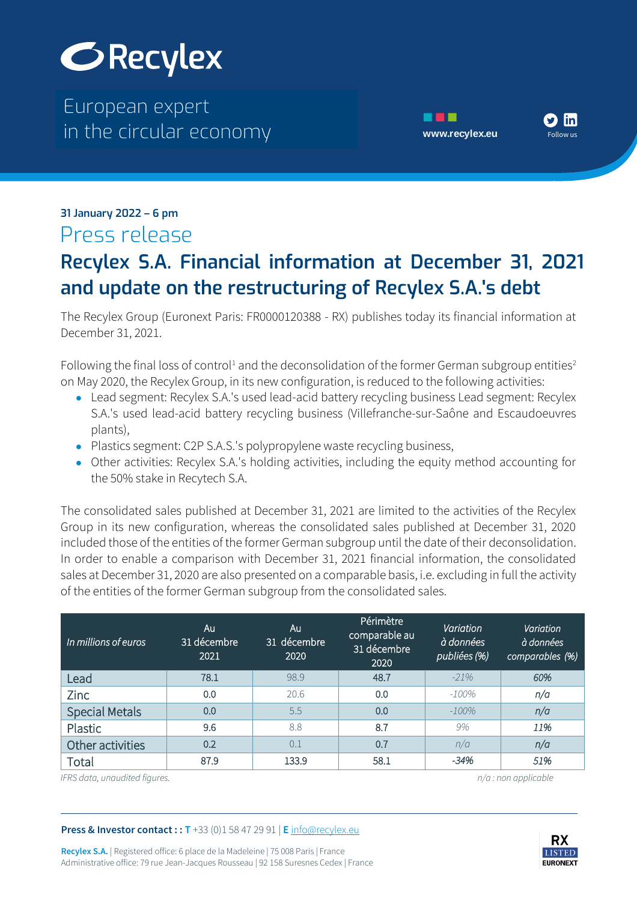

The European expert European expert in the circular economy **[www.recylex.eu](https://www.recylex.eu)** in the circular economy





#### $\mathbf{m}$  is a set of  $\mathbf{m}$  expertise  $\mathbf{m}$ **31 January 2022 – 6 pm** Press release

## in the circular economy www.recylex.europe.com/<br>The circular economy www.recylex.europe.cum **Recylex S.A. Financial information at December 31, 2021 and update on the restructuring of Recylex S.A.'s debt**

The Recylex Group (Euronext Paris: FR0000120388 - RX) publishes today its financial information at December 31, 2021.

Following the final loss of control<sup>1</sup> and the deconsolidation of the former German subgroup entities<sup>2</sup> on May 2020, the Recylex Group, in its new configuration, is reduced to the following activities:

- Lead segment: Recylex S.A.'s used lead-acid battery recycling business Lead segment: Recylex S.A.'s used lead-acid battery recycling business (Villefranche-sur-Saône and Escaudoeuvres plants),
- Plastics segment: C2P S.A.S.'s polypropylene waste recycling business,
- Other activities: Recylex S.A.'s holding activities, including the equity method accounting for the 50% stake in Recytech S.A.

The consolidated sales published at December 31, 2021 are limited to the activities of the Recylex Group in its new configuration, whereas the consolidated sales published at December 31, 2020 included those of the entities of the former German subgroup until the date of their deconsolidation. In order to enable a comparison with December 31, 2021 financial information, the consolidated sales at December 31, 2020 are also presented on a comparable basis, i.e. excluding in full the activity of the entities of the former German subgroup from the consolidated sales.

| In millions of euros  | Au<br>31 décembre<br>2021 | Au<br>31 décembre<br>2020 | Périmètre<br>comparable au<br>31 décembre<br>2020 | Variation<br>à données<br>publiées (%) | Variation<br>à données<br>comparables (%) |
|-----------------------|---------------------------|---------------------------|---------------------------------------------------|----------------------------------------|-------------------------------------------|
| Lead                  | 78.1                      | 98.9                      | 48.7                                              | $-21%$                                 | 60%                                       |
| Zinc                  | 0.0                       | 20.6                      | 0.0                                               | $-100%$                                | n/a                                       |
| <b>Special Metals</b> | 0.0                       | 5.5                       | 0.0                                               | $-100%$                                | n/a                                       |
| Plastic               | 9.6                       | 8.8                       | 8.7                                               | 9%                                     | 11%                                       |
| Other activities      | 0.2                       | 0.1                       | 0.7                                               | n/a                                    | n/a                                       |
| Total                 | 87.9                      | 133.9                     | 58.1                                              | $-34%$                                 | 51%                                       |

*IFRS data, unaudited figures. n/a : non applicable*

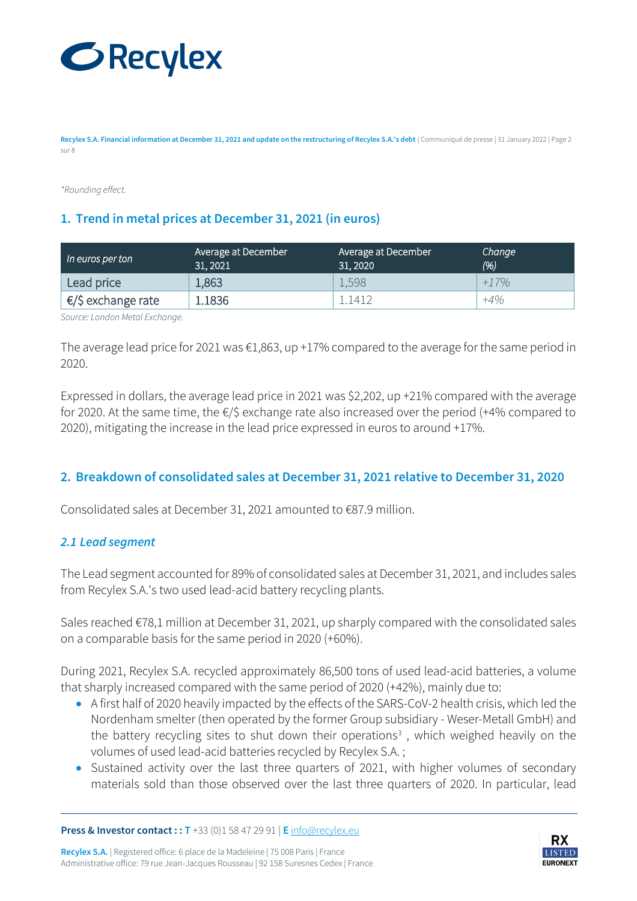

**Recylex S.A. Financial information at December 31, 2021 and update on the restructuring of Recylex S.A.'s debt** | Communiqué de presse | 31 January 2022 | Page 2 sur 8

*\*Rounding effect.*

#### **1. Trend in metal prices at December 31, 2021 (in euros)**

| In euros per ton             | Average at December 1<br>31, 2021 | Average at December<br>31, 2020 | Change<br>(%) |
|------------------------------|-----------------------------------|---------------------------------|---------------|
| Lead price                   | 1,863                             | 1,598                           | $+17%$        |
| $\epsilon$ /\$ exchange rate | L.1836                            | 1412                            | $+4%$         |

*Source: London Metal Exchange.*

The average lead price for 2021 was €1,863, up +17% compared to the average for the same period in 2020.

Expressed in dollars, the average lead price in 2021 was \$2,202, up +21% compared with the average for 2020. At the same time, the €/\$ exchange rate also increased over the period (+4% compared to 2020), mitigating the increase in the lead price expressed in euros to around +17%.

### **2. Breakdown of consolidated sales at December 31, 2021 relative to December 31, 2020**

Consolidated sales at December 31, 2021 amounted to €87.9 million.

#### *2.1 Lead segment*

The Lead segment accounted for 89% of consolidated sales at December 31, 2021, and includes sales from Recylex S.A.'s two used lead-acid battery recycling plants.

Sales reached €78,1 million at December 31, 2021, up sharply compared with the consolidated sales on a comparable basis for the same period in 2020 (+60%).

During 2021, Recylex S.A. recycled approximately 86,500 tons of used lead-acid batteries, a volume that sharply increased compared with the same period of 2020 (+42%), mainly due to:

- A first half of 2020 heavily impacted by the effects of the SARS-CoV-2 health crisis, which led the Nordenham smelter (then operated by the former Group subsidiary - Weser-Metall GmbH) and the battery recycling sites to shut down their operations<sup>3</sup>, which weighed heavily on the volumes of used lead-acid batteries recycled by Recylex S.A. ;
- Sustained activity over the last three quarters of 2021, with higher volumes of secondary materials sold than those observed over the last three quarters of 2020. In particular, lead

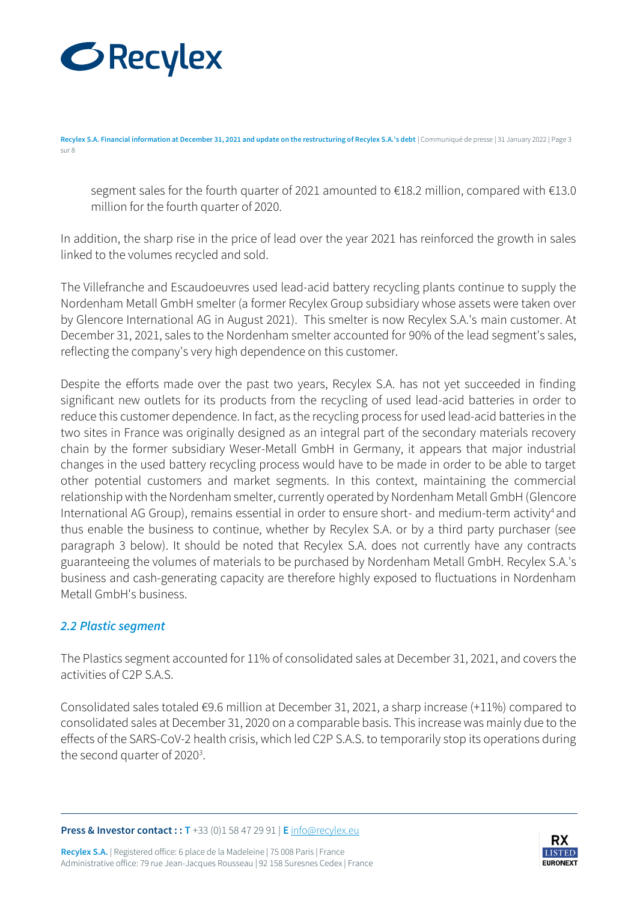

**Recylex S.A. Financial information at December 31, 2021 and update on the restructuring of Recylex S.A.'s debt** | Communiqué de presse | 31 January 2022 | Page 3 sur 8

segment sales for the fourth quarter of 2021 amounted to €18.2 million, compared with €13.0 million for the fourth quarter of 2020.

In addition, the sharp rise in the price of lead over the year 2021 has reinforced the growth in sales linked to the volumes recycled and sold.

The Villefranche and Escaudoeuvres used lead-acid battery recycling plants continue to supply the Nordenham Metall GmbH smelter (a former Recylex Group subsidiary whose assets were taken over by Glencore International AG in August 2021). This smelter is now Recylex S.A.'s main customer. At December 31, 2021, sales to the Nordenham smelter accounted for 90% of the lead segment's sales, reflecting the company's very high dependence on this customer.

Despite the efforts made over the past two years, Recylex S.A. has not yet succeeded in finding significant new outlets for its products from the recycling of used lead-acid batteries in order to reduce this customer dependence. In fact, as the recycling process for used lead-acid batteries in the two sites in France was originally designed as an integral part of the secondary materials recovery chain by the former subsidiary Weser-Metall GmbH in Germany, it appears that major industrial changes in the used battery recycling process would have to be made in order to be able to target other potential customers and market segments. In this context, maintaining the commercial relationship with the Nordenham smelter, currently operated by Nordenham Metall GmbH (Glencore International AG Group), remains essential in order to ensure short- and medium-term activity<sup>4</sup> and thus enable the business to continue, whether by Recylex S.A. or by a third party purchaser (see paragraph 3 below). It should be noted that Recylex S.A. does not currently have any contracts guaranteeing the volumes of materials to be purchased by Nordenham Metall GmbH. Recylex S.A.'s business and cash-generating capacity are therefore highly exposed to fluctuations in Nordenham Metall GmbH's business.

### *2.2 Plastic segment*

The Plastics segment accounted for 11% of consolidated sales at December 31, 2021, and covers the activities of C2P S.A.S.

Consolidated sales totaled €9.6 million at December 31, 2021, a sharp increase (+11%) compared to consolidated sales at December 31, 2020 on a comparable basis. This increase was mainly due to the effects of the SARS-CoV-2 health crisis, which led C2P S.A.S. to temporarily stop its operations during the second quarter of 2020<sup>3</sup>.

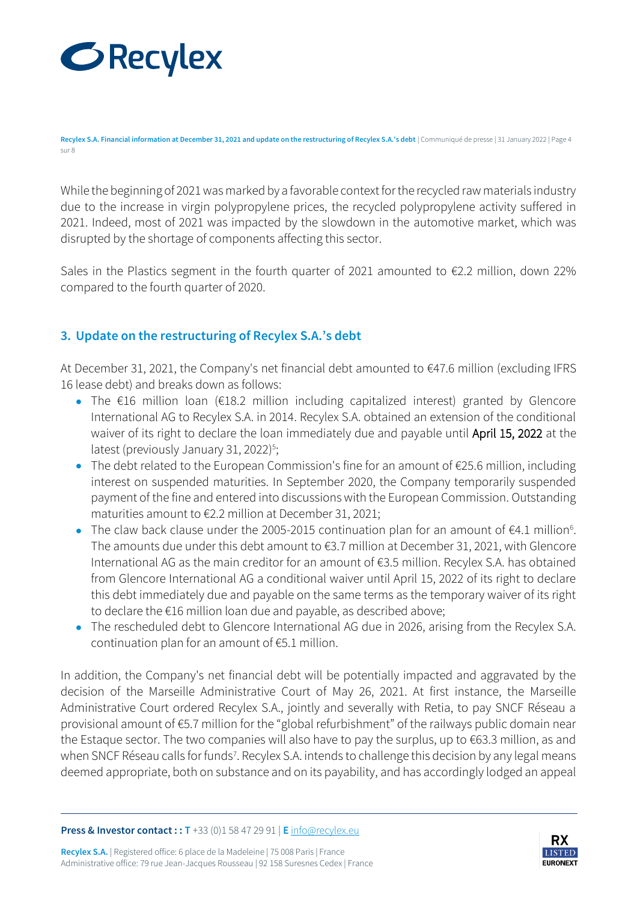

**Recylex S.A. Financial information at December 31, 2021 and update on the restructuring of Recylex S.A.'s debt** | Communiqué de presse | 31 January 2022 | Page 4 sur 8

While the beginning of 2021 was marked by a favorable context for the recycled raw materials industry due to the increase in virgin polypropylene prices, the recycled polypropylene activity suffered in 2021. Indeed, most of 2021 was impacted by the slowdown in the automotive market, which was disrupted by the shortage of components affecting this sector.

Sales in the Plastics segment in the fourth quarter of 2021 amounted to  $\epsilon$ 2.2 million, down 22% compared to the fourth quarter of 2020.

## **3. Update on the restructuring of Recylex S.A.'s debt**

At December 31, 2021, the Company's net financial debt amounted to €47.6 million (excluding IFRS 16 lease debt) and breaks down as follows:

- The €16 million loan (€18.2 million including capitalized interest) granted by Glencore International AG to Recylex S.A. in 2014. Recylex S.A. obtained an extension of the conditional waiver of its right to declare the loan immediately due and payable until April 15, 2022 at the latest (previously January 31, 2022) 5 ;
- The debt related to the European Commission's fine for an amount of €25.6 million, including interest on suspended maturities. In September 2020, the Company temporarily suspended payment of the fine and entered into discussions with the European Commission. Outstanding maturities amount to €2.2 million at December 31, 2021;
- The claw back clause under the 2005-2015 continuation plan for an amount of  $\epsilon$ 4.1 million<sup>6</sup>. The amounts due under this debt amount to €3.7 million at December 31, 2021, with Glencore International AG as the main creditor for an amount of €3.5 million. Recylex S.A. has obtained from Glencore International AG a conditional waiver until April 15, 2022 of its right to declare this debt immediately due and payable on the same terms as the temporary waiver of its right to declare the €16 million loan due and payable, as described above;
- The rescheduled debt to Glencore International AG due in 2026, arising from the Recylex S.A. continuation plan for an amount of €5.1 million.

In addition, the Company's net financial debt will be potentially impacted and aggravated by the decision of the Marseille Administrative Court of May 26, 2021. At first instance, the Marseille Administrative Court ordered Recylex S.A., jointly and severally with Retia, to pay SNCF Réseau a provisional amount of €5.7 million for the "global refurbishment" of the railways public domain near the Estaque sector. The two companies will also have to pay the surplus, up to €63.3 million, as and when SNCF Réseau calls for funds<sup>7</sup>. Recylex S.A. intends to challenge this decision by any legal means deemed appropriate, both on substance and on its payability, and has accordingly lodged an appeal

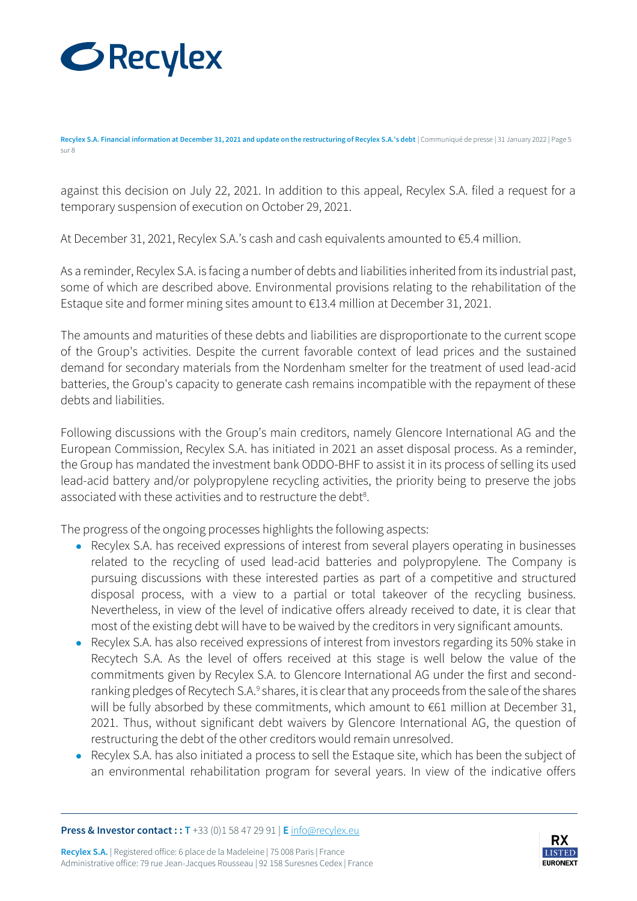

**Recylex S.A. Financial information at December 31, 2021 and update on the restructuring of Recylex S.A.'s debt** | Communiqué de presse | 31 January 2022 | Page 5 sur 8

against this decision on July 22, 2021. In addition to this appeal, Recylex S.A. filed a request for a temporary suspension of execution on October 29, 2021.

At December 31, 2021, Recylex S.A.'s cash and cash equivalents amounted to €5.4 million.

As a reminder, Recylex S.A. is facing a number of debts and liabilities inherited from its industrial past, some of which are described above. Environmental provisions relating to the rehabilitation of the Estaque site and former mining sites amount to €13.4 million at December 31, 2021.

The amounts and maturities of these debts and liabilities are disproportionate to the current scope of the Group's activities. Despite the current favorable context of lead prices and the sustained demand for secondary materials from the Nordenham smelter for the treatment of used lead-acid batteries, the Group's capacity to generate cash remains incompatible with the repayment of these debts and liabilities.

Following discussions with the Group's main creditors, namely Glencore International AG and the European Commission, Recylex S.A. has initiated in 2021 an asset disposal process. As a reminder, the Group has mandated the investment bank ODDO-BHF to assist it in its process of selling its used lead-acid battery and/or polypropylene recycling activities, the priority being to preserve the jobs associated with these activities and to restructure the debt<sup>8</sup>.

The progress of the ongoing processes highlights the following aspects:

- Recylex S.A. has received expressions of interest from several players operating in businesses related to the recycling of used lead-acid batteries and polypropylene. The Company is pursuing discussions with these interested parties as part of a competitive and structured disposal process, with a view to a partial or total takeover of the recycling business. Nevertheless, in view of the level of indicative offers already received to date, it is clear that most of the existing debt will have to be waived by the creditors in very significant amounts.
- Recylex S.A. has also received expressions of interest from investors regarding its 50% stake in Recytech S.A. As the level of offers received at this stage is well below the value of the commitments given by Recylex S.A. to Glencore International AG under the first and secondranking pledges of Recytech S.A.<sup>9</sup> shares, it is clear that any proceeds from the sale of the shares will be fully absorbed by these commitments, which amount to €61 million at December 31, 2021. Thus, without significant debt waivers by Glencore International AG, the question of restructuring the debt of the other creditors would remain unresolved.
- Recylex S.A. has also initiated a process to sell the Estaque site, which has been the subject of an environmental rehabilitation program for several years. In view of the indicative offers

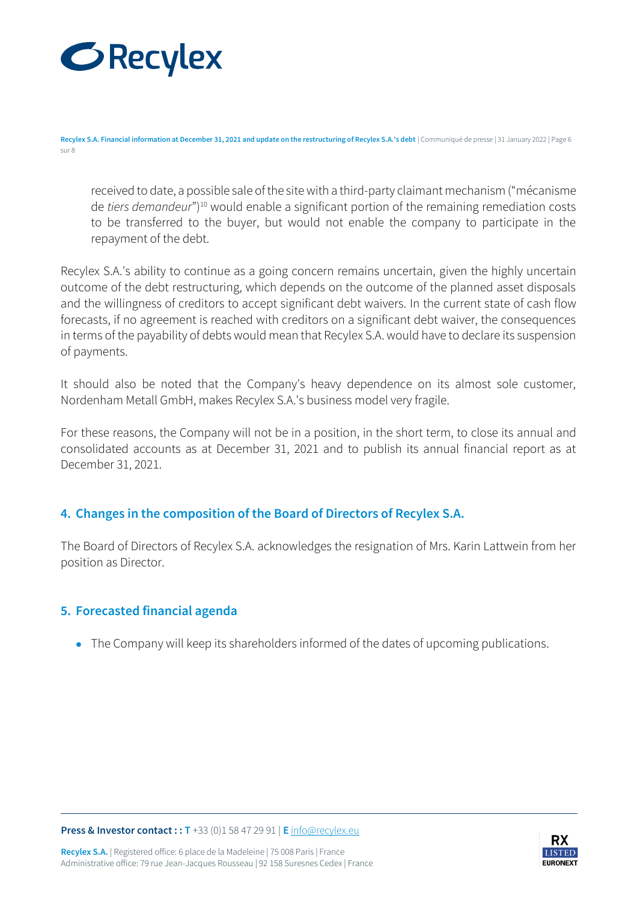

**Recylex S.A. Financial information at December 31, 2021 and update on the restructuring of Recylex S.A.'s debt** | Communiqué de presse | 31 January 2022 | Page 6 sur 8

received to date, a possible sale of the site with a third-party claimant mechanism ("mécanisme de *tiers demandeur*") <sup>10</sup> would enable a significant portion of the remaining remediation costs to be transferred to the buyer, but would not enable the company to participate in the repayment of the debt.

Recylex S.A.'s ability to continue as a going concern remains uncertain, given the highly uncertain outcome of the debt restructuring, which depends on the outcome of the planned asset disposals and the willingness of creditors to accept significant debt waivers. In the current state of cash flow forecasts, if no agreement is reached with creditors on a significant debt waiver, the consequences in terms of the payability of debts would mean that Recylex S.A. would have to declare its suspension of payments.

It should also be noted that the Company's heavy dependence on its almost sole customer, Nordenham Metall GmbH, makes Recylex S.A.'s business model very fragile.

For these reasons, the Company will not be in a position, in the short term, to close its annual and consolidated accounts as at December 31, 2021 and to publish its annual financial report as at December 31, 2021.

## **4. Changes in the composition of the Board of Directors of Recylex S.A.**

The Board of Directors of Recylex S.A. acknowledges the resignation of Mrs. Karin Lattwein from her position as Director.

### **5. Forecasted financial agenda**

• The Company will keep its shareholders informed of the dates of upcoming publications.

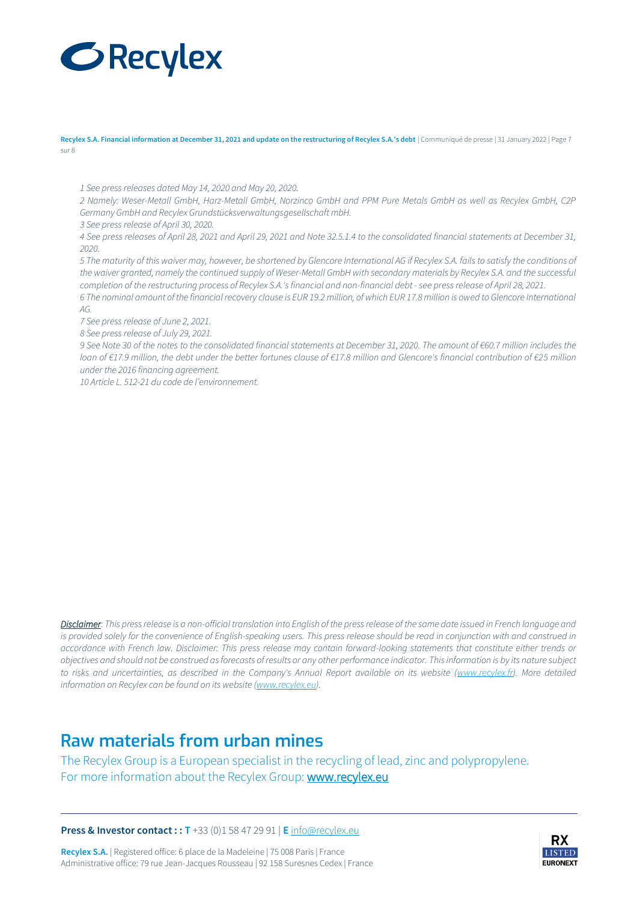# **GRecylex**

Recylex S.A. Financial information at December 31, 2021 and update on the restructuring of Recylex S.A.'s debt | Communiqué de presse | 31 January 2022 | Page 7 sur 8

*1 See press releases dated May 14, 2020 and May 20, 2020.*

*2 Namely: Weser-Metall GmbH, Harz-Metall GmbH, Norzinco GmbH and PPM Pure Metals GmbH as well as Recylex GmbH, C2P Germany GmbH and Recylex Grundstücksverwaltungsgesellschaft mbH.*

*3 See press release of April 30, 2020.*

*4 See press releases of April 28, 2021 and April 29, 2021 and Note 32.5.1.4 to the consolidated financial statements at December 31, 2020.*

*5 The maturity of this waiver may, however, be shortened by Glencore International AG if Recylex S.A. fails to satisfy the conditions of the waiver granted, namely the continued supply of Weser-Metall GmbH with secondary materials by Recylex S.A. and the successful completion of the restructuring process of Recylex S.A.'s financial and non-financial debt -see press release of April 28, 2021.*

*6 The nominal amount of the financial recovery clause is EUR 19.2 million, of which EUR 17.8 million is owed to Glencore International AG.*

*7 See press release of June 2, 2021.*

*8 See press release of July 29, 2021.*

*9 See Note 30 of the notes to the consolidated financial statements at December 31, 2020. The amount of €60.7 million includes the loan of €17.9 million, the debt under the better fortunes clause of €17.8 million and Glencore's financial contribution of €25 million under the 2016 financing agreement.*

*10 Article L. 512-21 du code de l'environnement.*

*Disclaimer: This press release is a non-official translation into English of the press release of the same date issued in French language and is provided solely for the convenience of English-speaking users. This press release should be read in conjunction with and construed in accordance with French law. Disclaimer: This press release may contain forward-looking statements that constitute either trends or objectives and should not be construed as forecasts of results or any other performance indicator. This information is by its nature subject to risks and uncertainties, as described in the Company's Annual Report available on its website [\(www.recylex.fr\).](http://www.recylex.fr/) More detailed information on Recylex can be found on its website [\(www.recylex.eu\).](http://www.recylex.eu/)*

## **Raw materials from urban mines**

The Recylex Group is a European specialist in the recycling of lead, zinc and polypropylene. For more information about the Recylex Group: [www.recylex.eu](http://www.recylex.eu/)